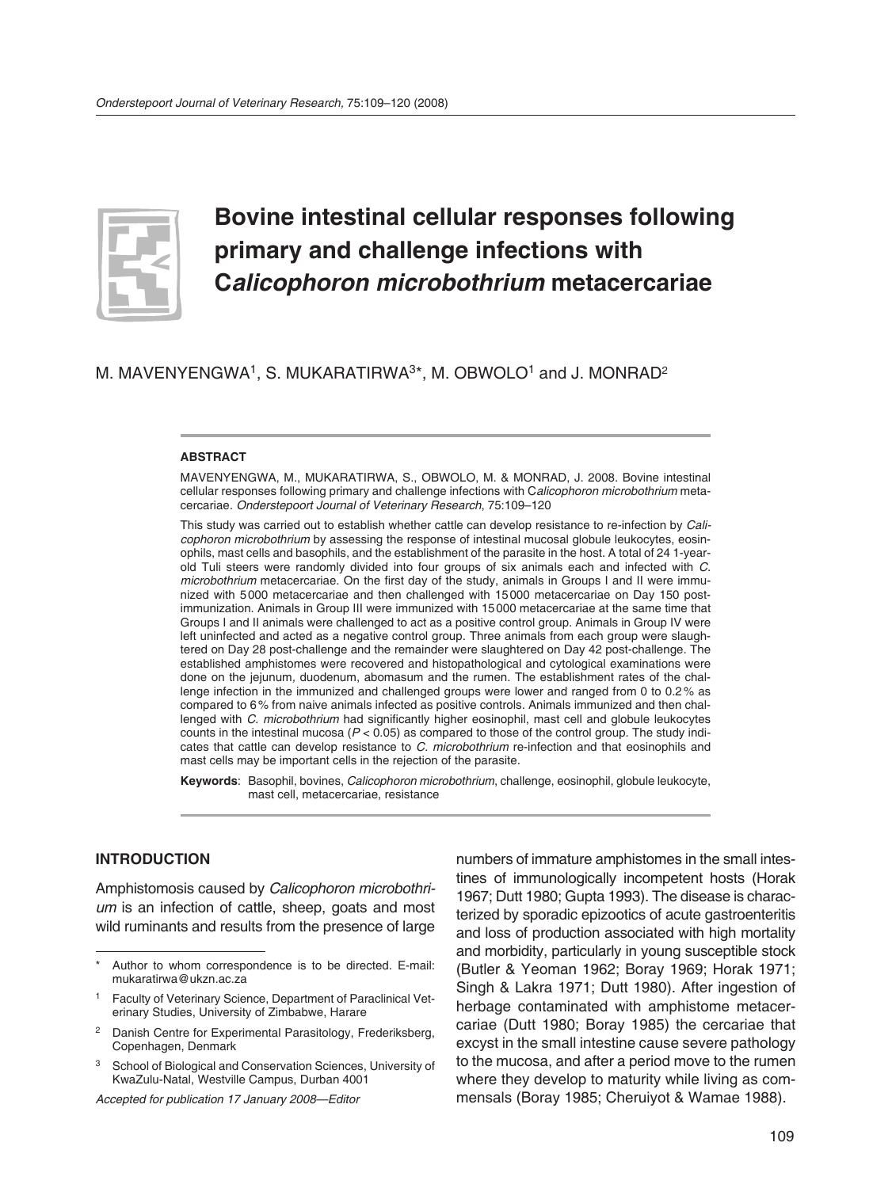

# **Bovine intestinal cellular responses following primary and challenge infections with C***alicophoron microbothrium* **metacercariae**

M. MAVENYENGWA<sup>1</sup>, S. MUKARATIRWA<sup>3\*</sup>, M. OBWOLO<sup>1</sup> and J. MONRAD<sup>2</sup>

#### **ABSTRACT**

MAVENYENGWA, M., MUKARATIRWA, S., OBWOLO, M. & MONRAD, J. 2008. Bovine intestinal cellular responses following primary and challenge infections with C*alicophoron microbothrium* metacercariae. *Onderstepoort Journal of Veterinary Research*, 75:109–120

This study was carried out to establish whether cattle can develop resistance to re-infection by *Calicophoron microbothrium* by assessing the response of intestinal mucosal globule leukocytes, eosinophils, mast cells and basophils, and the establishment of the parasite in the host. A total of 24 1-yearold Tuli steers were randomly divided into four groups of six animals each and infected with *C*. *micro bothrium* metacercariae. On the first day of the study, animals in Groups I and II were immunized with 5 000 metacercariae and then challenged with 15 000 metacercariae on Day 150 postimmunization. Animals in Group III were immunized with 15 000 metacercariae at the same time that Groups I and II animals were challenged to act as a positive control group. Animals in Group IV were left uninfected and acted as a negative control group. Three animals from each group were slaughtered on Day 28 post-challenge and the remainder were slaughtered on Day 42 post-challenge. The established amphistomes were recovered and histopathological and cytological examinations were done on the jejunum*,* duodenum, abomasum and the rumen. The establishment rates of the challenge infection in the immunized and challenged groups were lower and ranged from 0 to 0.2 % as compared to 6 % from naive animals infected as positive controls. Animals immunized and then challenged with *C. microbothrium* had significantly higher eosinophil, mast cell and globule leukocytes counts in the intestinal mucosa (*P* < 0.05) as compared to those of the control group. The study indicates that cattle can develop resistance to *C. microbothrium* re-infection and that eosinophils and mast cells may be important cells in the rejection of the parasite.

**Keywords**: Basophil, bovines, *Calicophoron microbothrium*, challenge, eosinophil, globule leukocyte, mast cell, metacercariae, resistance

#### **INTRODUCTION**

Amphistomosis caused by *Calicophoron microbothrium* is an infection of cattle, sheep, goats and most wild ruminants and results from the presence of large

*Accepted for publication 17 January 2008—Editor*

numbers of immature amphistomes in the small intestines of immunologically incompetent hosts (Horak 1967; Dutt 1980; Gupta 1993). The disease is characterized by sporadic epizootics of acute gastroenteritis and loss of production associated with high mortality and morbidity, particularly in young susceptible stock (Butler & Yeoman 1962; Boray 1969; Horak 1971; Singh & Lakra 1971; Dutt 1980). After ingestion of herbage contaminated with amphistome metacercariae (Dutt 1980; Boray 1985) the cercariae that excyst in the small intestine cause severe pathology to the mucosa, and after a period move to the rumen where they develop to maturity while living as commensals (Boray 1985; Cheruiyot & Wamae 1988).

Author to whom correspondence is to be directed. E-mail: mukaratirwa@ukzn.ac.za

<sup>1</sup> Faculty of Veterinary Science, Department of Paraclinical Veterinary Studies, University of Zimbabwe, Harare

<sup>&</sup>lt;sup>2</sup> Danish Centre for Experimental Parasitology, Frederiksberg, Copenhagen, Denmark

<sup>&</sup>lt;sup>3</sup> School of Biological and Conservation Sciences, University of KwaZulu-Natal, Westville Campus, Durban 4001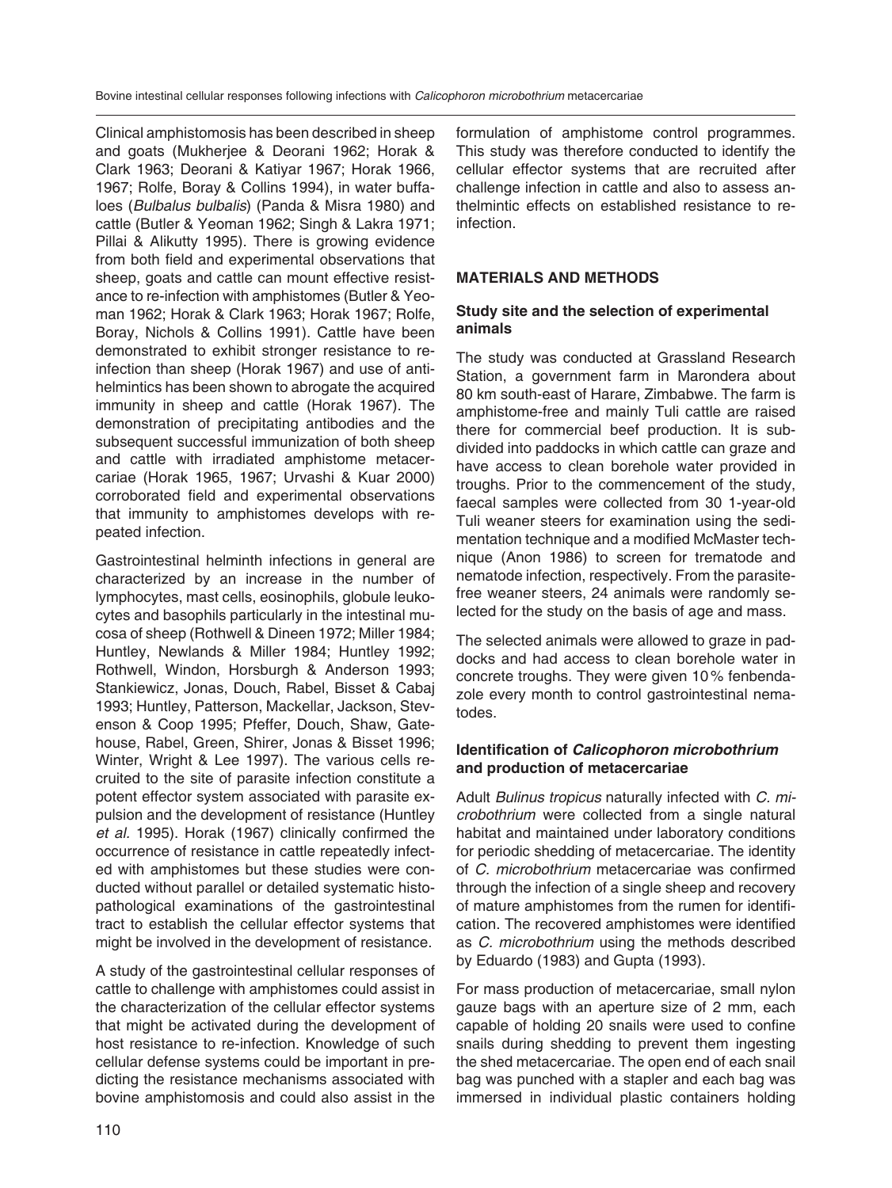Clinical amphistomosis has been described in sheep and goats (Mukherjee & Deorani 1962; Horak & Clark 1963; Deorani & Katiyar 1967; Horak 1966, 1967; Rolfe, Boray & Collins 1994), in water buffaloes (*Bulbalus bulbalis*) (Panda & Misra 1980) and cattle (Butler & Yeoman 1962; Singh & Lakra 1971; Pillai & Alikutty 1995). There is growing evidence from both field and experimental observations that sheep, goats and cattle can mount effective resistance to re-infection with amphistomes (Butler & Yeoman 1962; Horak & Clark 1963; Horak 1967; Rolfe, Boray, Nichols & Collins 1991). Cattle have been demonstrated to exhibit stronger resistance to reinfection than sheep (Horak 1967) and use of antihelmintics has been shown to abrogate the acquired immunity in sheep and cattle (Horak 1967). The demonstration of precipitating antibodies and the subsequent successful immunization of both sheep and cattle with irradiated amphistome metacercariae (Horak 1965, 1967; Urvashi & Kuar 2000) corroborated field and experimental observations that immunity to amphistomes develops with repeated infection.

Gastrointestinal helminth infections in general are characterized by an increase in the number of lymphocytes, mast cells, eosinophils, globule leukocytes and basophils particularly in the intestinal mucosa of sheep (Rothwell & Dineen 1972; Miller 1984; Huntley, Newlands & Miller 1984; Huntley 1992; Rothwell, Windon, Horsburgh & Anderson 1993; Stankiewicz, Jonas, Douch, Rabel, Bisset & Cabaj 1993; Huntley, Patterson, Mackellar, Jackson, Stevenson & Coop 1995; Pfeffer, Douch, Shaw, Gatehouse, Rabel, Green, Shirer, Jonas & Bisset 1996; Winter, Wright & Lee 1997). The various cells recruited to the site of parasite infection constitute a potent effector system associated with parasite expulsion and the development of resistance (Huntley *et al.* 1995). Horak (1967) clinically confirmed the occurrence of resistance in cattle repeatedly infected with amphistomes but these studies were conducted without parallel or detailed systematic histopathological examinations of the gastrointestinal tract to establish the cellular effector systems that might be involved in the development of resistance.

A study of the gastrointestinal cellular responses of cattle to challenge with amphistomes could assist in the characterization of the cellular effector systems that might be activated during the development of host resistance to re-infection. Knowledge of such cellular defense systems could be important in predicting the resistance mechanisms associated with bovine amphistomosis and could also assist in the formulation of amphistome control programmes. This study was therefore conducted to identify the cellular effector systems that are recruited after challenge infection in cattle and also to assess anthelmintic effects on established resistance to reinfection.

#### **MATERIALS AND METHODS**

#### **Study site and the selection of experimental animals**

The study was conducted at Grassland Research Station, a government farm in Marondera about 80 km south-east of Harare, Zimbabwe. The farm is amphistome-free and mainly Tuli cattle are raised there for commercial beef production. It is subdivided into paddocks in which cattle can graze and have access to clean borehole water provided in troughs. Prior to the commencement of the study, faecal samples were collected from 30 1-year-old Tuli weaner steers for examination using the sedimentation technique and a modified McMaster technique (Anon 1986) to screen for trematode and nematode infection, respectively. From the parasitefree weaner steers, 24 animals were randomly selected for the study on the basis of age and mass.

The selected animals were allowed to graze in paddocks and had access to clean borehole water in concrete troughs. They were given 10 % fenbendazole every month to control gastrointestinal nematodes.

#### **Identification of** *Calicophoron microbothrium*  **and production of metacercariae**

Adult *Bulinus tropicus* naturally infected with *C. microbothrium* were collected from a single natural habitat and maintained under laboratory conditions for periodic shedding of metacercariae. The identity of *C. microbothrium* metacercariae was confirmed through the infection of a single sheep and recovery of mature amphistomes from the rumen for identification. The recovered amphistomes were identified as *C. microbothrium* using the methods described by Eduardo (1983) and Gupta (1993).

For mass production of metacercariae, small nylon gauze bags with an aperture size of 2 mm, each capable of holding 20 snails were used to confine snails during shedding to prevent them ingesting the shed metacercariae. The open end of each snail bag was punched with a stapler and each bag was immersed in individual plastic containers holding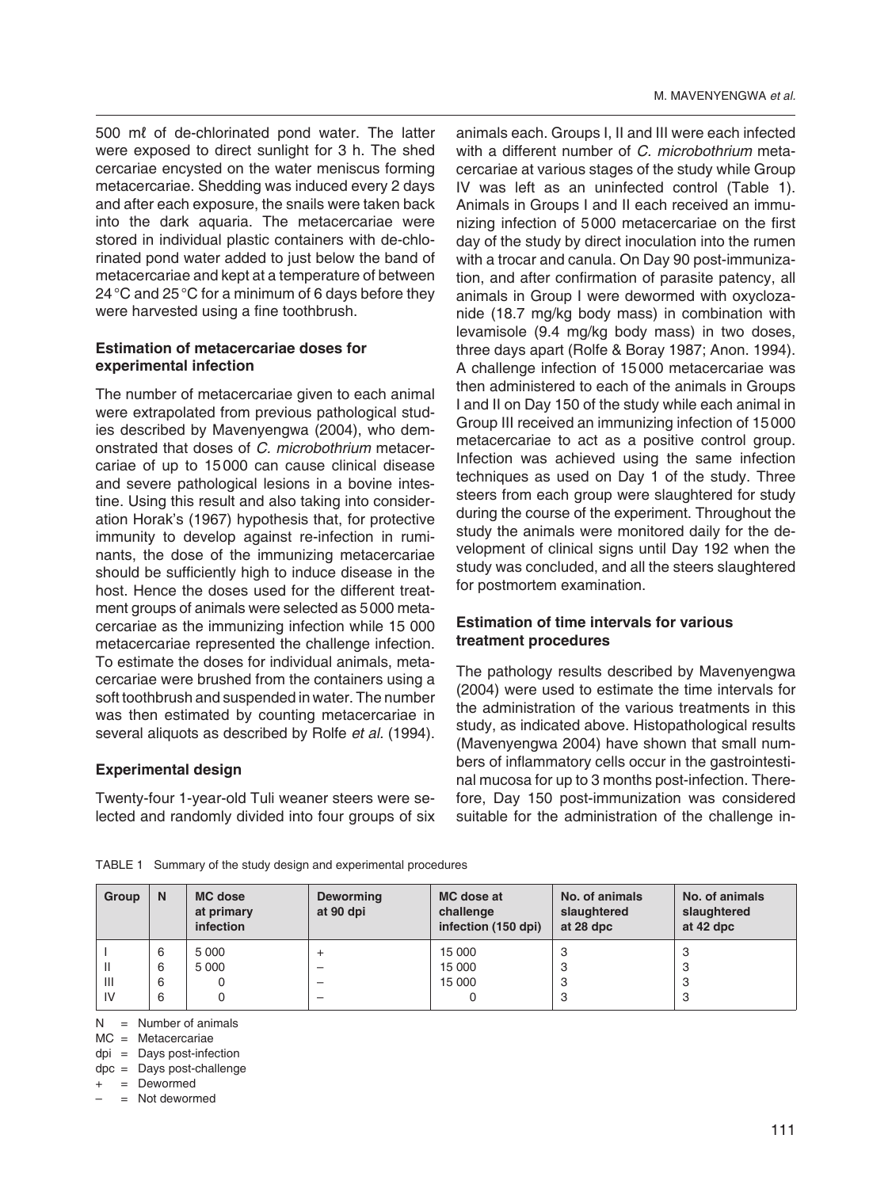500 mℓ of de-chlorinated pond water. The latter were exposed to direct sunlight for 3 h. The shed cercariae encysted on the water meniscus forming metacercariae. Shedding was induced every 2 days and after each exposure, the snails were taken back into the dark aquaria. The metacercariae were stored in individual plastic containers with de-chlorinated pond water added to just below the band of metacercariae and kept at a temperature of between 24 °C and 25 °C for a minimum of 6 days before they were harvested using a fine toothbrush.

#### **Estimation of metacercariae doses for experimental infection**

The number of metacercariae given to each animal were extrapolated from previous pathological studies described by Mavenyengwa (2004), who demonstrated that doses of *C. microbothrium* metacercariae of up to 15 000 can cause clinical disease and severe pathological lesions in a bovine intestine. Using this result and also taking into consideration Horak's (1967) hypothesis that, for protective immunity to develop against re-infection in ruminants, the dose of the immunizing metacercariae should be sufficiently high to induce disease in the host. Hence the doses used for the different treatment groups of animals were selected as 5 000 metacercariae as the immunizing infection while 15 000 metacercariae represented the challenge infection. To estimate the doses for individual animals, metacercariae were brushed from the containers using a soft toothbrush and suspended in water. The number was then estimated by counting metacercariae in several aliquots as described by Rolfe *et al.* (1994).

#### **Experimental design**

Twenty-four 1-year-old Tuli weaner steers were selected and randomly divided into four groups of six

animals each. Groups I, II and III were each infected with a different number of *C. microbothrium* metacercariae at various stages of the study while Group IV was left as an uninfected control (Table 1). Animals in Groups I and II each received an immunizing infection of 5 000 metacercariae on the first day of the study by direct inoculation into the rumen with a trocar and canula. On Day 90 post-immunization, and after confirmation of parasite patency, all animals in Group I were dewormed with oxyclozanide (18.7 mg/kg body mass) in combination with levamisole (9.4 mg/kg body mass) in two doses, three days apart (Rolfe & Boray 1987; Anon. 1994). A challenge infection of 15 000 metacercariae was then administered to each of the animals in Groups I and II on Day 150 of the study while each animal in Group III received an immunizing infection of 15 000 metacercariae to act as a positive control group. Infection was achieved using the same infection techniques as used on Day 1 of the study. Three steers from each group were slaughtered for study during the course of the experiment. Throughout the study the animals were monitored daily for the development of clinical signs until Day 192 when the study was concluded, and all the steers slaughtered for postmortem examination.

#### **Estimation of time intervals for various treatment procedures**

The pathology results described by Mavenyengwa (2004) were used to estimate the time intervals for the administration of the various treatments in this study, as indicated above. Histopathological results (Mavenyengwa 2004) have shown that small numbers of inflammatory cells occur in the gastrointestinal mucosa for up to 3 months post-infection. Therefore, Day 150 post-immunization was considered suitable for the administration of the challenge in-

| Group          | N | <b>MC</b> dose<br>at primary<br>infection | <b>Deworming</b><br>at 90 dpi | MC dose at<br>challenge<br>infection (150 dpi) | No. of animals<br>slaughtered<br>at 28 dpc | No. of animals<br>slaughtered<br>at 42 dpc |
|----------------|---|-------------------------------------------|-------------------------------|------------------------------------------------|--------------------------------------------|--------------------------------------------|
|                | 6 | 5 0 0 0                                   |                               | 15 000                                         | 3                                          | 3                                          |
| $\mathbf{I}$   | 6 | 5 0 0 0                                   | -                             | 15 000                                         | 3                                          | ٠J                                         |
| $\mathbf{III}$ | 6 |                                           |                               | 15 000                                         | 3                                          | ت                                          |
| IV             | 6 |                                           | -                             |                                                | 3                                          | ٠J                                         |

TABLE 1 Summary of the study design and experimental procedures

 $N =$  Number of animals

MC = Metacercariae

dpi = Days post-infection

dpc = Days post-challenge

= Dewormed

 $=$  Not dewormed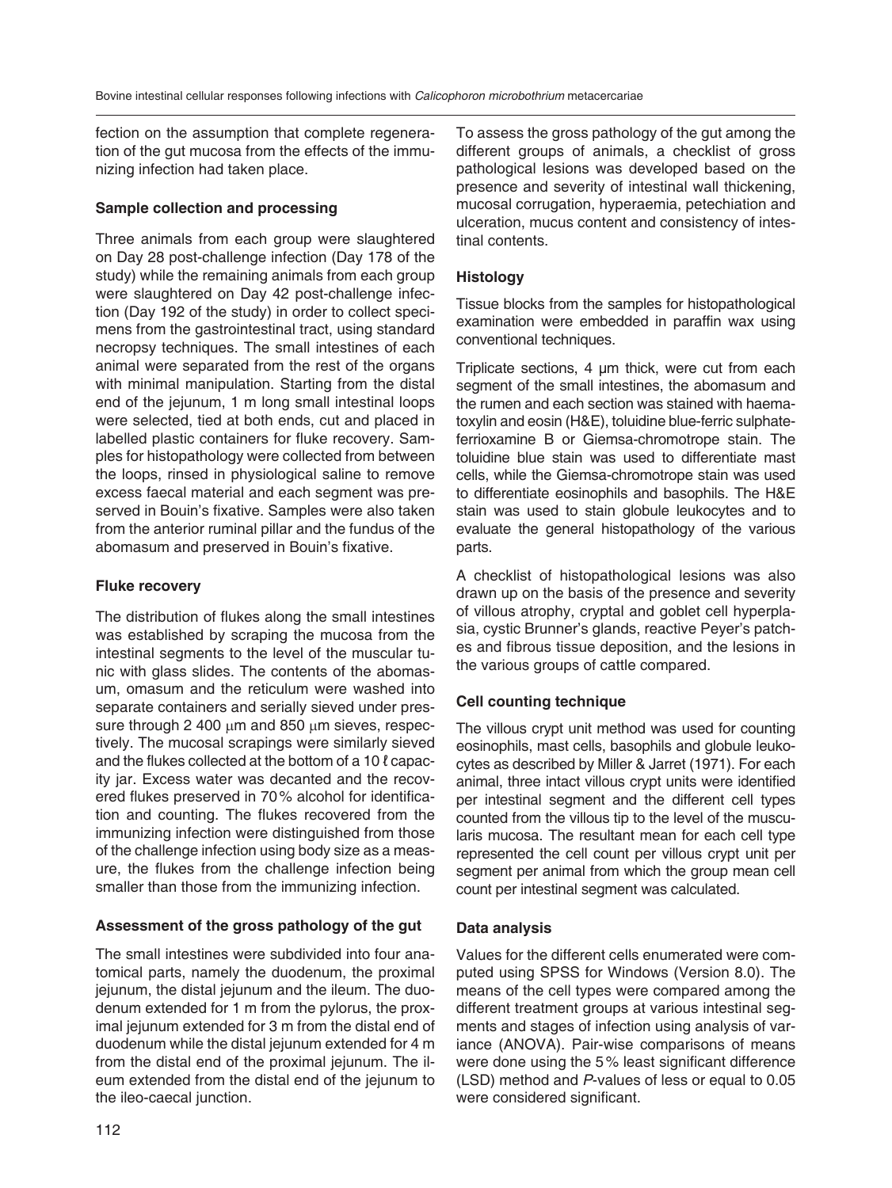fection on the assumption that complete regeneration of the gut mucosa from the effects of the immunizing infection had taken place.

## **Sample collection and processing**

Three animals from each group were slaughtered on Day 28 post-challenge infection (Day 178 of the study) while the remaining animals from each group were slaughtered on Day 42 post-challenge infection (Day 192 of the study) in order to collect specimens from the gastrointestinal tract, using standard necropsy techniques. The small intestines of each animal were separated from the rest of the organs with minimal manipulation. Starting from the distal end of the jejunum, 1 m long small intestinal loops were selected, tied at both ends, cut and placed in labelled plastic containers for fluke recovery. Samples for histopathology were collected from between the loops, rinsed in physiological saline to remove excess faecal material and each segment was preserved in Bouin's fixative. Samples were also taken from the anterior ruminal pillar and the fundus of the abomasum and preserved in Bouin's fixative.

## **Fluke recovery**

The distribution of flukes along the small intestines was established by scraping the mucosa from the intestinal segments to the level of the muscular tunic with glass slides. The contents of the abomasum, omasum and the reticulum were washed into separate containers and serially sieved under pressure through 2 400 μm and 850 μm sieves, respectively. The mucosal scrapings were similarly sieved and the flukes collected at the bottom of a 10 ℓ capacity jar. Excess water was decanted and the recovered flukes preserved in 70 % alcohol for identification and counting. The flukes recovered from the immunizing infection were distinguished from those of the challenge infection using body size as a measure, the flukes from the challenge infection being smaller than those from the immunizing infection.

## **Assessment of the gross pathology of the gut**

The small intestines were subdivided into four anatomical parts, namely the duodenum, the proximal jejunum, the distal jejunum and the ileum. The duodenum extended for 1 m from the pylorus, the proximal jejunum extended for 3 m from the distal end of duodenum while the distal jejunum extended for 4 m from the distal end of the proximal jejunum. The ileum extended from the distal end of the jejunum to the ileo-caecal junction.

To assess the gross pathology of the gut among the different groups of animals, a checklist of gross pathological lesions was developed based on the presence and severity of intestinal wall thickening, mucosal corrugation, hyperaemia, petechiation and ulceration, mucus content and consistency of intestinal contents.

## **Histology**

Tissue blocks from the samples for histopathological examination were embedded in paraffin wax using conventional techniques.

Triplicate sections, 4 μm thick, were cut from each segment of the small intestines, the abomasum and the rumen and each section was stained with haematoxylin and eosin (H&E), toluidine blue-ferric sulphateferrioxamine B or Giemsa-chromotrope stain. The toluidine blue stain was used to differentiate mast cells, while the Giemsa-chromotrope stain was used to differentiate eosinophils and basophils. The H&E stain was used to stain globule leukocytes and to evaluate the general histopathology of the various parts.

A checklist of histopathological lesions was also drawn up on the basis of the presence and severity of villous atrophy, cryptal and goblet cell hyperplasia, cystic Brunner's glands, reactive Peyer's patches and fibrous tissue deposition, and the lesions in the various groups of cattle compared.

## **Cell counting technique**

The villous crypt unit method was used for counting eosinophils, mast cells, basophils and globule leukocytes as described by Miller & Jarret (1971). For each animal, three intact villous crypt units were identified per intestinal segment and the different cell types counted from the villous tip to the level of the muscularis mucosa. The resultant mean for each cell type represented the cell count per villous crypt unit per segment per animal from which the group mean cell count per intestinal segment was calculated.

## **Data analysis**

Values for the different cells enumerated were computed using SPSS for Windows (Version 8.0). The means of the cell types were compared among the different treatment groups at various intestinal segments and stages of infection using analysis of variance (ANOVA). Pair-wise comparisons of means were done using the 5 % least significant difference (LSD) method and *P*-values of less or equal to 0.05 were considered significant.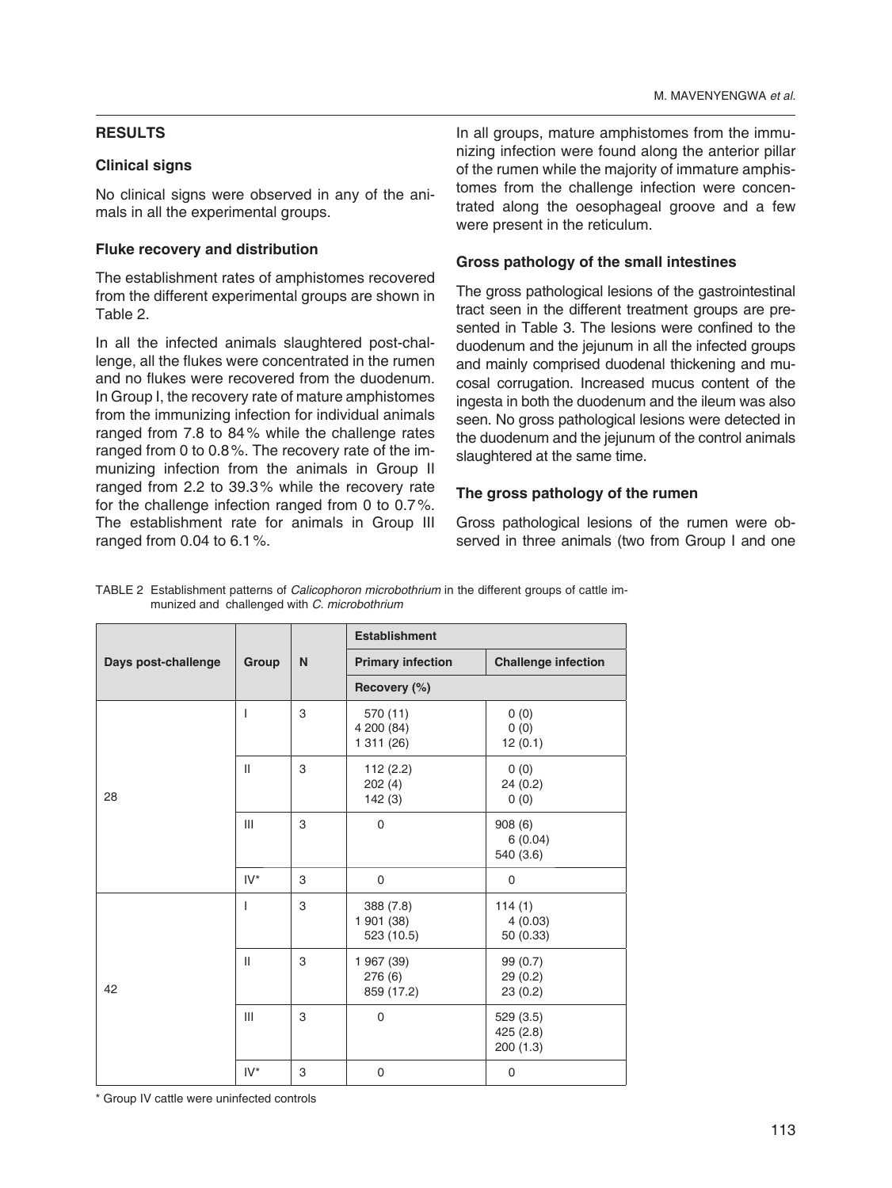## **RESULTS**

## **Clinical signs**

No clinical signs were observed in any of the animals in all the experimental groups.

## **Fluke recovery and distribution**

The establishment rates of amphistomes recovered from the different experimental groups are shown in Table 2.

In all the infected animals slaughtered post-challenge, all the flukes were concentrated in the rumen and no flukes were recovered from the duodenum. In Group I, the recovery rate of mature amphistomes from the immunizing infection for individual animals ranged from 7.8 to 84 % while the challenge rates ranged from 0 to 0.8 %. The recovery rate of the immunizing infection from the animals in Group II ranged from 2.2 to 39.3 % while the recovery rate for the challenge infection ranged from 0 to 0.7 %. The establishment rate for animals in Group III ranged from 0.04 to 6.1 %.

In all groups, mature amphistomes from the immunizing infection were found along the anterior pillar of the rumen while the majority of immature amphistomes from the challenge infection were concentrated along the oesophageal groove and a few were present in the reticulum.

## **Gross pathology of the small intestines**

The gross pathological lesions of the gastrointestinal tract seen in the different treatment groups are presented in Table 3. The lesions were confined to the duodenum and the jejunum in all the infected groups and mainly comprised duodenal thickening and mucosal corrugation. Increased mucus content of the ingesta in both the duodenum and the ileum was also seen. No gross pathological lesions were detected in the duodenum and the jejunum of the control animals slaughtered at the same time.

## **The gross pathology of the rumen**

Gross pathological lesions of the rumen were observed in three animals (two from Group I and one

TABLE 2 Establishment patterns of *Calicophoron microbothrium* in the different groups of cattle immunized and challenged with *C. microbothrium*

|                     |              |   | <b>Establishment</b>                  |                                     |
|---------------------|--------------|---|---------------------------------------|-------------------------------------|
| Days post-challenge | Group        | N | <b>Primary infection</b>              | <b>Challenge infection</b>          |
|                     |              |   | Recovery (%)                          |                                     |
|                     | $\mathbf{I}$ | 3 | 570 (11)<br>4 200 (84)<br>1 311 (26)  | 0(0)<br>0(0)<br>12(0.1)             |
| 28                  | $\mathbf{H}$ | 3 | 112(2.2)<br>202(4)<br>142(3)          | 0(0)<br>24(0.2)<br>0(0)             |
|                     | III          | 3 | $\mathbf 0$                           | 908(6)<br>6(0.04)<br>540 (3.6)      |
|                     | $IV^*$       | 3 | 0                                     | 0                                   |
|                     | T            | 3 | 388 (7.8)<br>1 901 (38)<br>523 (10.5) | 114(1)<br>4(0.03)<br>50 (0.33)      |
| 42                  | $\mathbf{H}$ | 3 | 1 967 (39)<br>276 (6)<br>859 (17.2)   | 99 (0.7)<br>29(0.2)<br>23(0.2)      |
|                     | III          | 3 | 0                                     | 529 (3.5)<br>425 (2.8)<br>200 (1.3) |
|                     | $IV^*$       | 3 | $\mathbf 0$                           | 0                                   |

\* Group IV cattle were uninfected controls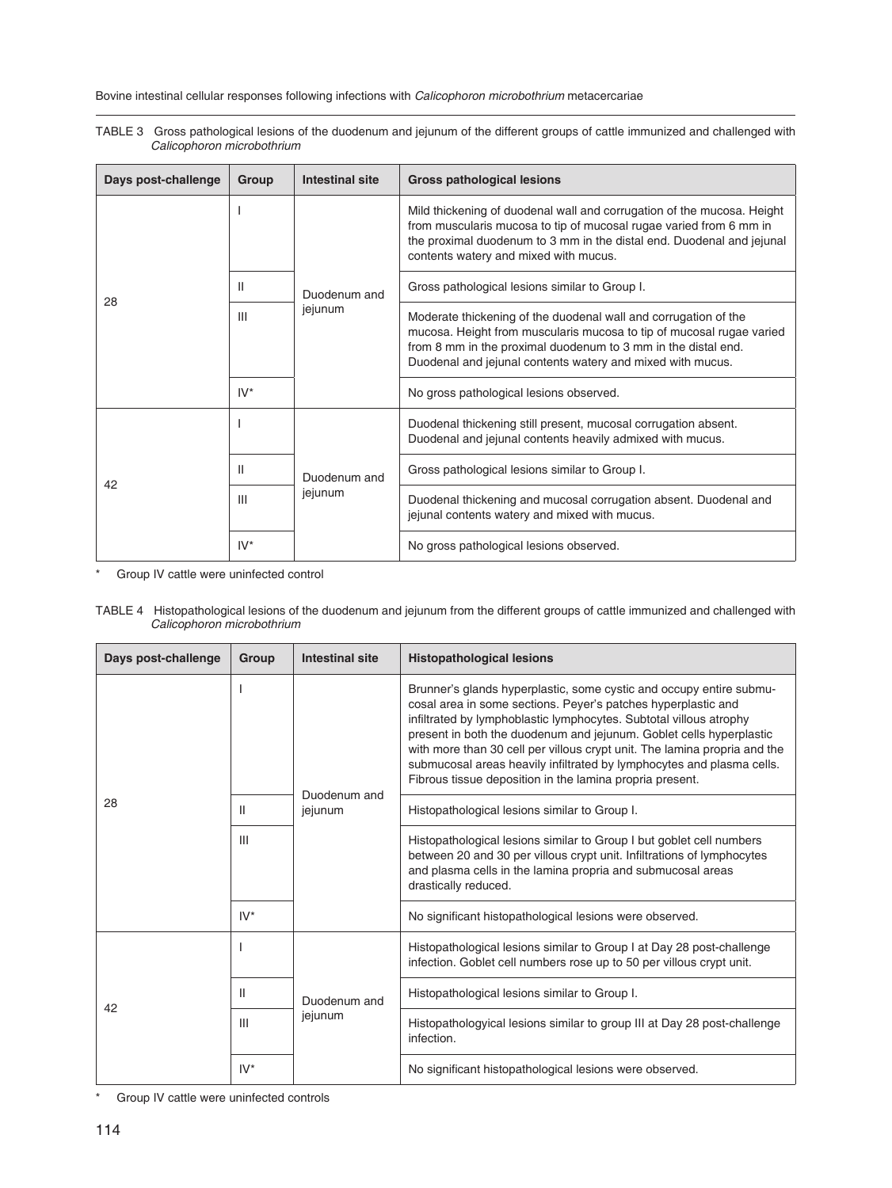TABLE 3 Gross pathological lesions of the duodenum and jejunum of the different groups of cattle immunized and challenged with *Calicophoron microbothrium*

| Days post-challenge | Group  | <b>Intestinal site</b> | <b>Gross pathological lesions</b>                                                                                                                                                                                                                                      |
|---------------------|--------|------------------------|------------------------------------------------------------------------------------------------------------------------------------------------------------------------------------------------------------------------------------------------------------------------|
|                     |        |                        | Mild thickening of duodenal wall and corrugation of the mucosa. Height<br>from muscularis mucosa to tip of mucosal rugae varied from 6 mm in<br>the proximal duodenum to 3 mm in the distal end. Duodenal and jejunal<br>contents watery and mixed with mucus.         |
| 28                  | Ш      | Duodenum and           | Gross pathological lesions similar to Group I.                                                                                                                                                                                                                         |
|                     | Ш      | jejunum                | Moderate thickening of the duodenal wall and corrugation of the<br>mucosa. Height from muscularis mucosa to tip of mucosal rugae varied<br>from 8 mm in the proximal duodenum to 3 mm in the distal end.<br>Duodenal and jejunal contents watery and mixed with mucus. |
|                     | $IV^*$ |                        | No gross pathological lesions observed.                                                                                                                                                                                                                                |
|                     |        |                        | Duodenal thickening still present, mucosal corrugation absent.<br>Duodenal and jejunal contents heavily admixed with mucus.                                                                                                                                            |
| 42                  | Ш      | Duodenum and           | Gross pathological lesions similar to Group I.                                                                                                                                                                                                                         |
|                     | Ш      | jejunum                | Duodenal thickening and mucosal corrugation absent. Duodenal and<br>jejunal contents watery and mixed with mucus.                                                                                                                                                      |
|                     | $IV^*$ |                        | No gross pathological lesions observed.                                                                                                                                                                                                                                |

\* Group IV cattle were uninfected control

TABLE 4 Histopathological lesions of the duodenum and jejunum from the different groups of cattle immunized and challenged with *Calicophoron microbothrium*

| Days post-challenge | Group        | <b>Intestinal site</b> | <b>Histopathological lesions</b>                                                                                                                                                                                                                                                                                                                                                                                                                                                                    |
|---------------------|--------------|------------------------|-----------------------------------------------------------------------------------------------------------------------------------------------------------------------------------------------------------------------------------------------------------------------------------------------------------------------------------------------------------------------------------------------------------------------------------------------------------------------------------------------------|
|                     |              | Duodenum and           | Brunner's glands hyperplastic, some cystic and occupy entire submu-<br>cosal area in some sections. Peyer's patches hyperplastic and<br>infiltrated by lymphoblastic lymphocytes. Subtotal villous atrophy<br>present in both the duodenum and jejunum. Goblet cells hyperplastic<br>with more than 30 cell per villous crypt unit. The lamina propria and the<br>submucosal areas heavily infiltrated by lymphocytes and plasma cells.<br>Fibrous tissue deposition in the lamina propria present. |
| 28                  | $\mathbf{I}$ | jejunum                | Histopathological lesions similar to Group I.                                                                                                                                                                                                                                                                                                                                                                                                                                                       |
|                     | Ш            |                        | Histopathological lesions similar to Group I but goblet cell numbers<br>between 20 and 30 per villous crypt unit. Infiltrations of lymphocytes<br>and plasma cells in the lamina propria and submucosal areas<br>drastically reduced.                                                                                                                                                                                                                                                               |
|                     | $IV^*$       |                        | No significant histopathological lesions were observed.                                                                                                                                                                                                                                                                                                                                                                                                                                             |
|                     |              |                        | Histopathological lesions similar to Group I at Day 28 post-challenge<br>infection. Goblet cell numbers rose up to 50 per villous crypt unit.                                                                                                                                                                                                                                                                                                                                                       |
| 42                  | $\mathbf{H}$ | Duodenum and           | Histopathological lesions similar to Group I.                                                                                                                                                                                                                                                                                                                                                                                                                                                       |
|                     | Ш            | jejunum                | Histopathologyical lesions similar to group III at Day 28 post-challenge<br>infection.                                                                                                                                                                                                                                                                                                                                                                                                              |
|                     | $IV^*$       |                        | No significant histopathological lesions were observed.                                                                                                                                                                                                                                                                                                                                                                                                                                             |

\* Group IV cattle were uninfected controls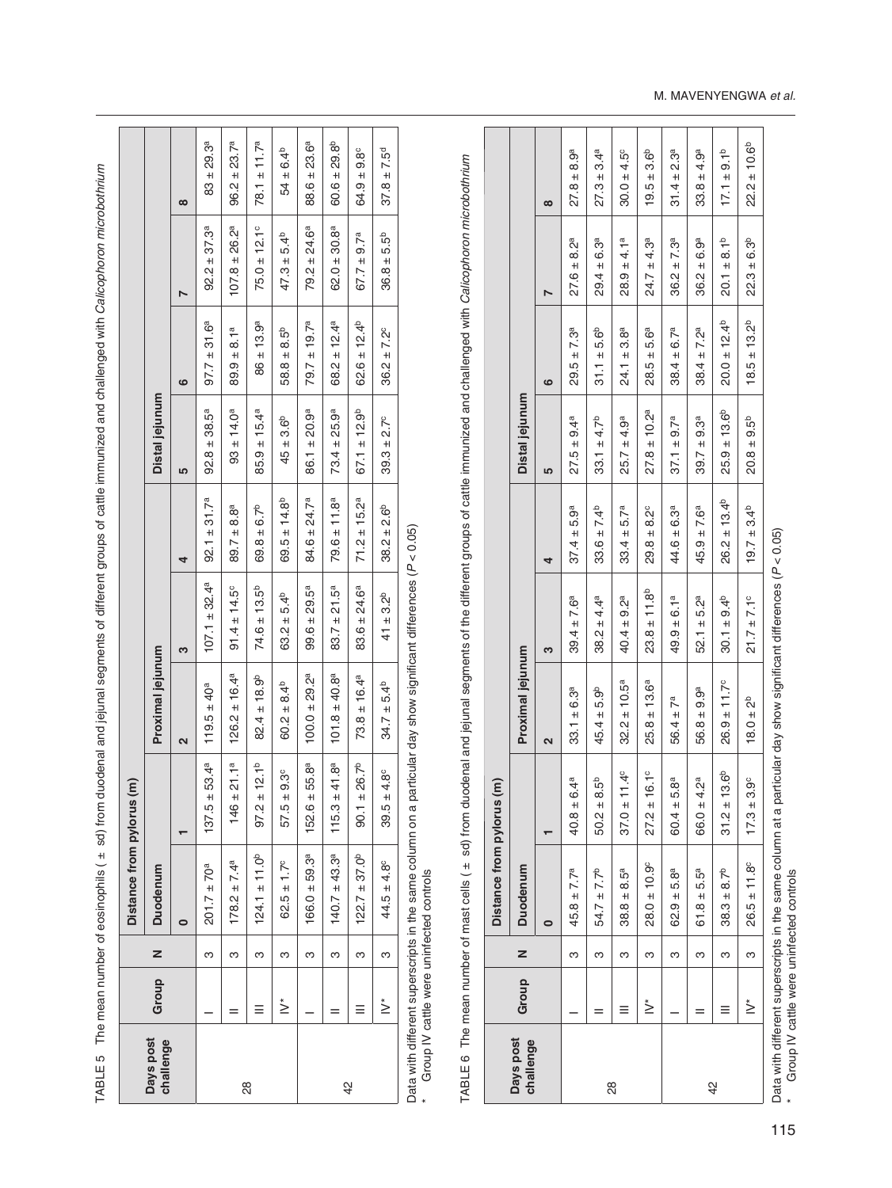TABLE 5 The mean number of eosinophils ( ± sd) from duodenal and jejunal segments of different groups of cattle immunized and challenged with Calicophoron microbothrium TABLE 5 The mean number of eosinophils ( ± sd) from duodenal and jejunal segments of different groups of cattle immunized and challenged with *Calicophoron microbothrium*

|                           |                        | $\infty$ | $83 \pm 29.3^a$             | $96.2 \pm 23.7^a$          | $78.1 \pm 11.7^a$       | $54 \pm 6.4^{b}$       | $88.6 \pm 23.6^a$            | $60.6 \pm 29.8^{b}$ | $64.9 \pm 9.8^{\circ}$         | $37.8 \pm 7.5^d$       |
|---------------------------|------------------------|----------|-----------------------------|----------------------------|-------------------------|------------------------|------------------------------|---------------------|--------------------------------|------------------------|
|                           |                        |          | $92.2 \pm 37.3^a$           | $107.8 \pm 26.2^a$         | $75.0 \pm 12.1^{\circ}$ | $47.3 \pm 5.4^{\circ}$ | $79.2 \pm 24.6^a$            | $62.0 \pm 30.8^a$   | $67.7 \pm 9.7^a$               | $36.8 \pm 5.5^{b}$     |
|                           |                        | ဖ        | $97.7 \pm 31.6^a$           | $89.9 \pm 8.1^{a}$         | $86 \pm 13.9^a$         | $58.8 \pm 8.5^{b}$     | $79.7 \pm 19.7^a$            | $68.2 \pm 12.4^a$   | $62.6 \pm 12.4^{b}$            | $36.2 \pm 7.2^{\circ}$ |
|                           | Distal jejunum         | 5        | $92.8 \pm 38.5^a$           | $93 \pm 14.0^a$            | $85.9 \pm 15.4^a$       | $45 \pm 3.6^{\circ}$   | $86.1 \pm 20.9^a$            | $73.4 \pm 25.9^a$   | $67.1 \pm 12.9^b$              | $39.3 \pm 2.7^{\circ}$ |
|                           |                        | 4        | $92.1 \pm 31.7^a$           | $89.7 \pm 8.8^a$           | $69.8 \pm 6.7^b$        | $69.5 \pm 14.8^{b}$    | $84.6 \pm 24.7^a$            | $79.6 \pm 11.8^a$   | $71.2 \pm 15.2^a$              | $38.2 \pm 2.6^{\circ}$ |
|                           |                        | 3        | $107.1 \pm 32.4^a$          | $91.4 \pm 14.5^{\circ}$    | $74.6 \pm 13.5^b$       | $63.2 \pm 5.4^{b}$     | $99.6 \pm 29.5^a$            | $83.7 \pm 21.5^a$   | $83.6 \pm 24.6^a$              | $41 \pm 3.2^{b}$       |
|                           | Proximal jejunum       | 2        | $119.5 \pm 40^a$            | $126.2 \pm 16.4^a$         | $82.4 \pm 18.9^{\circ}$ | $60.2 \pm 8.4^{b}$     | $100.0 \pm 29.2^a$           | $101.8 \pm 40.8^a$  | $73.8 \pm 16.4^a$              | $34.7 \pm 5.4^{b}$     |
|                           |                        |          | $\pm 53.4^{\rm a}$<br>137.5 | ± 21.1 <sup>a</sup><br>146 | $97.2 \pm 12.1^b$       | $± 9.3^\circ$<br>57.5  | ± 55.8 <sup>a</sup><br>152.6 | $115.3 \pm 41.8^a$  | ± 26.7 <sup>b</sup><br>-<br>80 | $39.5 \pm 4.8^{\circ}$ |
| Distance from pylorus (m) | <b>Duodenum</b>        |          | $201.7 \pm 70^{a}$          | $178.2 \pm 7.4^a$          | $124.1 \pm 11.0^b$      | $62.5 \pm 1.7^{\circ}$ | $166.0 \pm 59.3^a$           | $140.7 \pm 43.3^a$  | $122.7 \pm 37.0^b$             | $44.5 \pm 4.8^{\circ}$ |
|                           | z                      |          | ო                           | ო                          | ო                       | ო                      | ო                            | ო                   | ო                              | ო                      |
|                           | Group                  |          |                             |                            |                         | չ                      |                              |                     |                                | $\stackrel{*}{\geq}$   |
|                           | Days post<br>challenge |          |                             |                            | 28                      |                        |                              | $\frac{2}{3}$       |                                |                        |

Data with different superscripts in the same column on a particular day show significant differences (P < 0.05)<br>\* Group IV cattle were uninfected controls Data with different superscripts in the same column on a particular day show significant differences (*P* < 0.05) \* Group IV cattle were uninfected controls

TABLE 6 The mean number of mast cells ( ± sd) from duodenal and jejunal segments of the different groups of cattle immunized and challenged with Calicophoron microbothrium TABLE 6 The mean number of mast cells ( ± sd) from duodenal and jejunal segments of the different groups of cattle immunized and challenged with *Calicophoron microbothrium*

|                        |                      |   | Distance from pylorus (m) |                                |                         |                        |                        |                         |                     |                        |                        |
|------------------------|----------------------|---|---------------------------|--------------------------------|-------------------------|------------------------|------------------------|-------------------------|---------------------|------------------------|------------------------|
| Days post<br>challenge | Group                | z | Duodenum                  |                                | Proximal jejunum        |                        |                        | Distal jejunum          |                     |                        |                        |
|                        |                      |   |                           |                                | $\overline{\mathbf{c}}$ | 3                      | 4                      | 5                       | ဖ                   | r                      | $\infty$               |
|                        |                      | ო | $45.8 \pm 7.7^a$          | 6.4 <sup>a</sup><br>$40.8 \pm$ | $33.1 \pm 6.3^a$        | $39.4 \pm 7.6^a$       | $37.4 \pm 5.9^a$       | $27.5 \pm 9.4^a$        | $29.5 \pm 7.3^a$    | $27.6 \pm 8.2^a$       | $27.8 \pm 8.9^a$       |
|                        |                      | ო | $54.7 \pm 7.7^b$          | 8.5 <sup>b</sup><br>$50.2 \pm$ | $45.4 \pm 5.9^{\circ}$  | $38.2 \pm 4.4^a$       | $33.6 \pm 7.4^{b}$     | $33.1 \pm 4.7^b$        | $31.1 + 5.6^{b}$    | $29.4 \pm 6.3^a$       | $27.3 \pm 3.4^a$       |
| 28                     |                      | ო | $38.8 \pm 8.5^a$          | $37.0 \pm 11.4^{\circ}$        | $32.2 \pm 10.5^a$       | $40.4 \pm 9.2^a$       | $33.4 \pm 5.7^a$       | $25.7 \pm 4.9^a$        | $24.1 \pm 3.8^a$    | $28.9 \pm 4.1^a$       | $30.0 \pm 4.5^{\circ}$ |
|                        | $\stackrel{*}{\geq}$ | ო | $28.0 \pm 10.9^{\circ}$   | $27.2 \pm 16.1^{\circ}$        | $25.8 \pm 13.6^a$       | $23.8 \pm 11.8^{b}$    | $29.8 \pm 8.2^{\circ}$ | $27.8 \pm 10.2^a$       | $28.5 \pm 5.6^a$    | $24.7 \pm 4.3^a$       | $19.5 \pm 3.6^{b}$     |
|                        |                      | ო | $62.9 + 5.8^{a}$          | 5.8ª<br>$60.4 \pm$             | $56.4 \pm 7^a$          | $49.9 \pm 6.1^a$       | $44.6 \pm 6.3^a$       | $37.1 \pm 9.7^a$        | $38.4 \pm 6.7^a$    | $36.2 \pm 7.3^a$       | $31.4 \pm 2.3^a$       |
|                        |                      | ო | $61.8 \pm 5.5^a$          | 4.2ª<br>66.0 ±                 | $56.8 \pm 9.9^a$        | $52.1 \pm 5.2^a$       | $45.9 \pm 7.6^a$       | $39.7 \pm 9.3^a$        | $38.4 \pm 7.2^a$    | $36.2 \pm 6.9^a$       | $33.8 \pm 4.9^a$       |
| $\frac{2}{3}$          |                      | ო | $38.3 \pm 8.7^b$          | $31.2 \pm 13.6^b$              | $26.9 \pm 11.7^{\circ}$ | $30.1 \pm 9.4^{b}$     | $26.2 \pm 13.4^{b}$    | $25.9 \pm 13.6^{\circ}$ | $20.0 \pm 12.4^{b}$ | $20.1 \pm 8.1^{b}$     | $17.1 \pm 9.1^{b}$     |
|                        | չ                    | ო | $26.5 \pm 11.8$           | $3.9^\circ$<br>$17.3 \pm$      | $18.0 \pm 2^{b}$        | $21.7 \pm 7.1^{\circ}$ | $19.7 \pm 3.4^{p}$     | $20.8 \pm 9.5^{b}$      | $18.5 \pm 13.2^{b}$ | $22.3 \pm 6.3^{\circ}$ | $22.2 \pm 10.6^b$      |
|                        |                      |   |                           |                                |                         |                        |                        |                         |                     |                        |                        |

Data with different superscripts in the same column at a particular day show significant differences (P < 0.05)<br>\* Group IV cattle were uninfected controls Data with different superscripts in the same column at a particular day show significant differences (*P* < 0.05)

\* Group IV cattle were uninfected controls

#### M. MAVENYENGWA *et al.*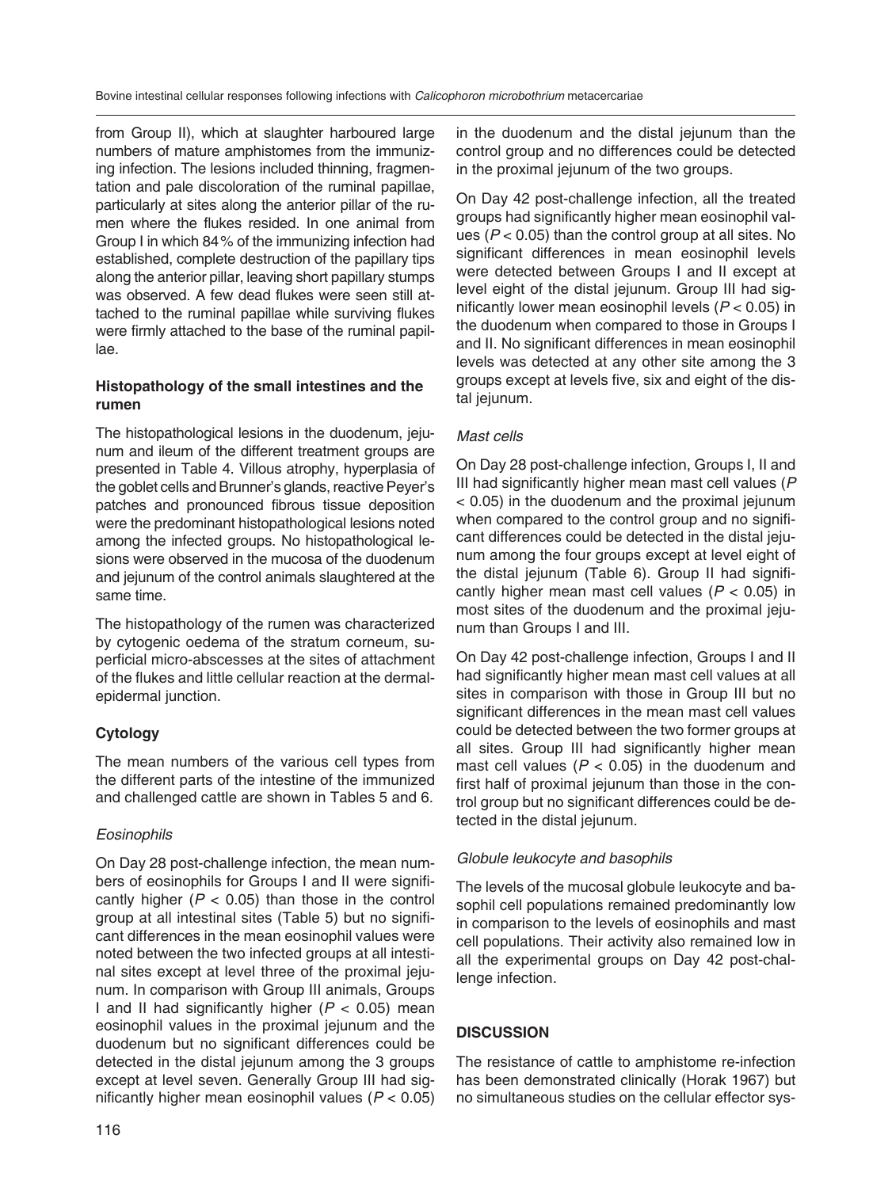from Group II), which at slaughter harboured large numbers of mature amphistomes from the immunizing infection. The lesions included thinning, fragmentation and pale discoloration of the ruminal papillae, particularly at sites along the anterior pillar of the rumen where the flukes resided. In one animal from Group I in which 84 % of the immunizing infection had established, complete destruction of the papillary tips along the anterior pillar, leaving short papillary stumps was observed. A few dead flukes were seen still attached to the ruminal papillae while surviving flukes were firmly attached to the base of the ruminal papillae.

## **Histopathology of the small intestines and the rumen**

The histopathological lesions in the duodenum, jejunum and ileum of the different treatment groups are presented in Table 4. Villous atrophy, hyperplasia of the goblet cells and Brunner's glands, reactive Peyer's patches and pronounced fibrous tissue deposition were the predominant histopathological lesions noted among the infected groups. No histopathological lesions were observed in the mucosa of the duodenum and jejunum of the control animals slaughtered at the same time.

The histopathology of the rumen was characterized by cytogenic oedema of the stratum corneum, superficial micro-abscesses at the sites of attachment of the flukes and little cellular reaction at the dermalepidermal junction.

## **Cytology**

The mean numbers of the various cell types from the different parts of the intestine of the immunized and challenged cattle are shown in Tables 5 and 6.

## *Eosinophils*

On Day 28 post-challenge infection, the mean numbers of eosinophils for Groups I and II were significantly higher  $(P < 0.05)$  than those in the control group at all intestinal sites (Table 5) but no significant differences in the mean eosinophil values were noted between the two infected groups at all intestinal sites except at level three of the proximal jejunum. In comparison with Group III animals, Groups I and II had significantly higher (*P* < 0.05) mean eosinophil values in the proximal jejunum and the duodenum but no significant differences could be detected in the distal jejunum among the 3 groups except at level seven. Generally Group III had significantly higher mean eosinophil values (*P* < 0.05) in the duodenum and the distal jejunum than the control group and no differences could be detected in the proximal jejunum of the two groups.

On Day 42 post-challenge infection, all the treated groups had significantly higher mean eosinophil values (*P* < 0.05) than the control group at all sites. No significant differences in mean eosinophil levels were detected between Groups I and II except at level eight of the distal jejunum. Group III had significantly lower mean eosinophil levels (*P* < 0.05) in the duodenum when compared to those in Groups I and II. No significant differences in mean eosinophil levels was detected at any other site among the 3 groups except at levels five, six and eight of the distal jejunum.

#### *Mast cells*

On Day 28 post-challenge infection, Groups I, II and III had significantly higher mean mast cell values (*P* < 0.05) in the duodenum and the proximal jejunum when compared to the control group and no significant differences could be detected in the distal jejunum among the four groups except at level eight of the distal jejunum (Table 6). Group II had significantly higher mean mast cell values (*P* < 0.05) in most sites of the duodenum and the proximal jejunum than Groups I and III.

On Day 42 post-challenge infection, Groups I and II had significantly higher mean mast cell values at all sites in comparison with those in Group III but no significant differences in the mean mast cell values could be detected between the two former groups at all sites. Group III had significantly higher mean mast cell values  $(P < 0.05)$  in the duodenum and first half of proximal jejunum than those in the control group but no significant differences could be detected in the distal jejunum.

## *Globule leukocyte and basophils*

The levels of the mucosal globule leukocyte and basophil cell populations remained predominantly low in comparison to the levels of eosinophils and mast cell populations. Their activity also remained low in all the experimental groups on Day 42 post-challenge infection.

## **DISCUSSION**

The resistance of cattle to amphistome re-infection has been demonstrated clinically (Horak 1967) but no simultaneous studies on the cellular effector sys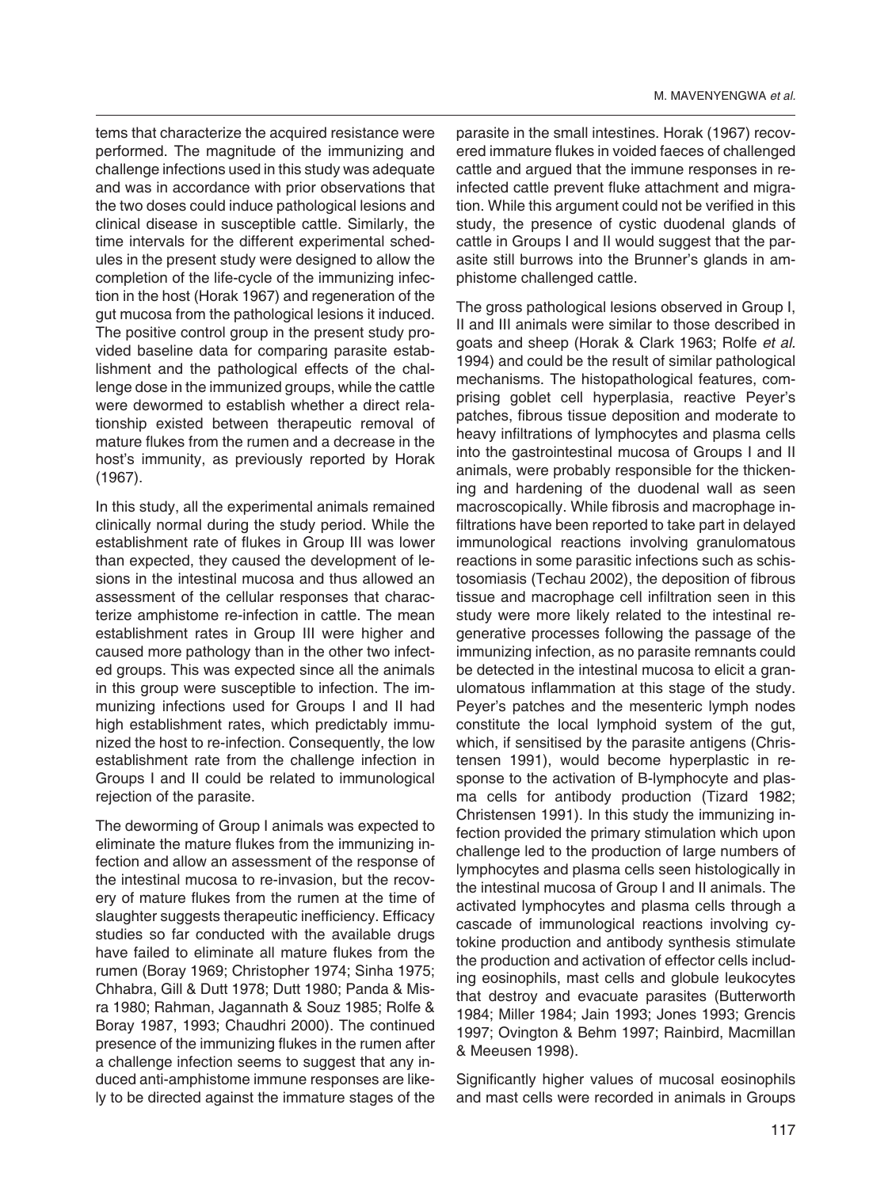tems that characterize the acquired resistance were performed. The magnitude of the immunizing and challenge infections used in this study was adequate and was in accordance with prior observations that the two doses could induce pathological lesions and clinical disease in susceptible cattle. Similarly, the time intervals for the different experimental schedules in the present study were designed to allow the completion of the life-cycle of the immunizing infection in the host (Horak 1967) and regeneration of the gut mucosa from the pathological lesions it induced. The positive control group in the present study provided baseline data for comparing parasite establishment and the pathological effects of the challenge dose in the immunized groups, while the cattle were dewormed to establish whether a direct relationship existed between therapeutic removal of mature flukes from the rumen and a decrease in the host's immunity, as previously reported by Horak (1967).

In this study, all the experimental animals remained clinically normal during the study period. While the establishment rate of flukes in Group III was lower than expected, they caused the development of lesions in the intestinal mucosa and thus allowed an assessment of the cellular responses that characterize amphistome re-infection in cattle. The mean establishment rates in Group III were higher and caused more pathology than in the other two infected groups. This was expected since all the animals in this group were susceptible to infection. The immunizing infections used for Groups I and II had high establishment rates, which predictably immunized the host to re-infection. Consequently, the low establishment rate from the challenge infection in Groups I and II could be related to immunological rejection of the parasite.

The deworming of Group I animals was expected to eliminate the mature flukes from the immunizing infection and allow an assessment of the response of the intestinal mucosa to re-invasion, but the recovery of mature flukes from the rumen at the time of slaughter suggests therapeutic inefficiency. Efficacy studies so far conducted with the available drugs have failed to eliminate all mature flukes from the rumen (Boray 1969; Christopher 1974; Sinha 1975; Chhabra, Gill & Dutt 1978; Dutt 1980; Panda & Misra 1980; Rahman, Jagannath & Souz 1985; Rolfe & Boray 1987, 1993; Chaudhri 2000). The continued presence of the immunizing flukes in the rumen after a challenge infection seems to suggest that any induced anti-amphistome immune responses are likely to be directed against the immature stages of the

parasite in the small intestines. Horak (1967) recovered immature flukes in voided faeces of challenged cattle and argued that the immune responses in reinfected cattle prevent fluke attachment and migration. While this argument could not be verified in this study, the presence of cystic duodenal glands of cattle in Groups I and II would suggest that the parasite still burrows into the Brunner's glands in amphistome challenged cattle.

The gross pathological lesions observed in Group I, II and III animals were similar to those described in goats and sheep (Horak & Clark 1963; Rolfe *et al.* 1994) and could be the result of similar pathological mechanisms. The histopathological features, comprising goblet cell hyperplasia, reactive Peyer's patches, fibrous tissue deposition and moderate to heavy infiltrations of lymphocytes and plasma cells into the gastrointestinal mucosa of Groups I and II animals, were probably responsible for the thickening and hardening of the duodenal wall as seen macroscopically. While fibrosis and macrophage infiltrations have been reported to take part in delayed immunological reactions involving granulomatous reactions in some parasitic infections such as schistosomiasis (Techau 2002), the deposition of fibrous tissue and macrophage cell infiltration seen in this study were more likely related to the intestinal regenerative processes following the passage of the immunizing infection, as no parasite remnants could be detected in the intestinal mucosa to elicit a granulomatous inflammation at this stage of the study. Peyer's patches and the mesenteric lymph nodes constitute the local lymphoid system of the gut, which, if sensitised by the parasite antigens (Christensen 1991), would become hyperplastic in response to the activation of B-lymphocyte and plasma cells for antibody production (Tizard 1982; Christensen 1991). In this study the immunizing infection provided the primary stimulation which upon challenge led to the production of large numbers of lymphocytes and plasma cells seen histologically in the intestinal mucosa of Group I and II animals. The activated lymphocytes and plasma cells through a cascade of immunological reactions involving cytokine production and antibody synthesis stimulate the production and activation of effector cells including eosinophils, mast cells and globule leukocytes that destroy and evacuate parasites (Butterworth 1984; Miller 1984; Jain 1993; Jones 1993; Grencis 1997; Ovington & Behm 1997; Rainbird, Macmillan & Meeusen 1998).

Significantly higher values of mucosal eosinophils and mast cells were recorded in animals in Groups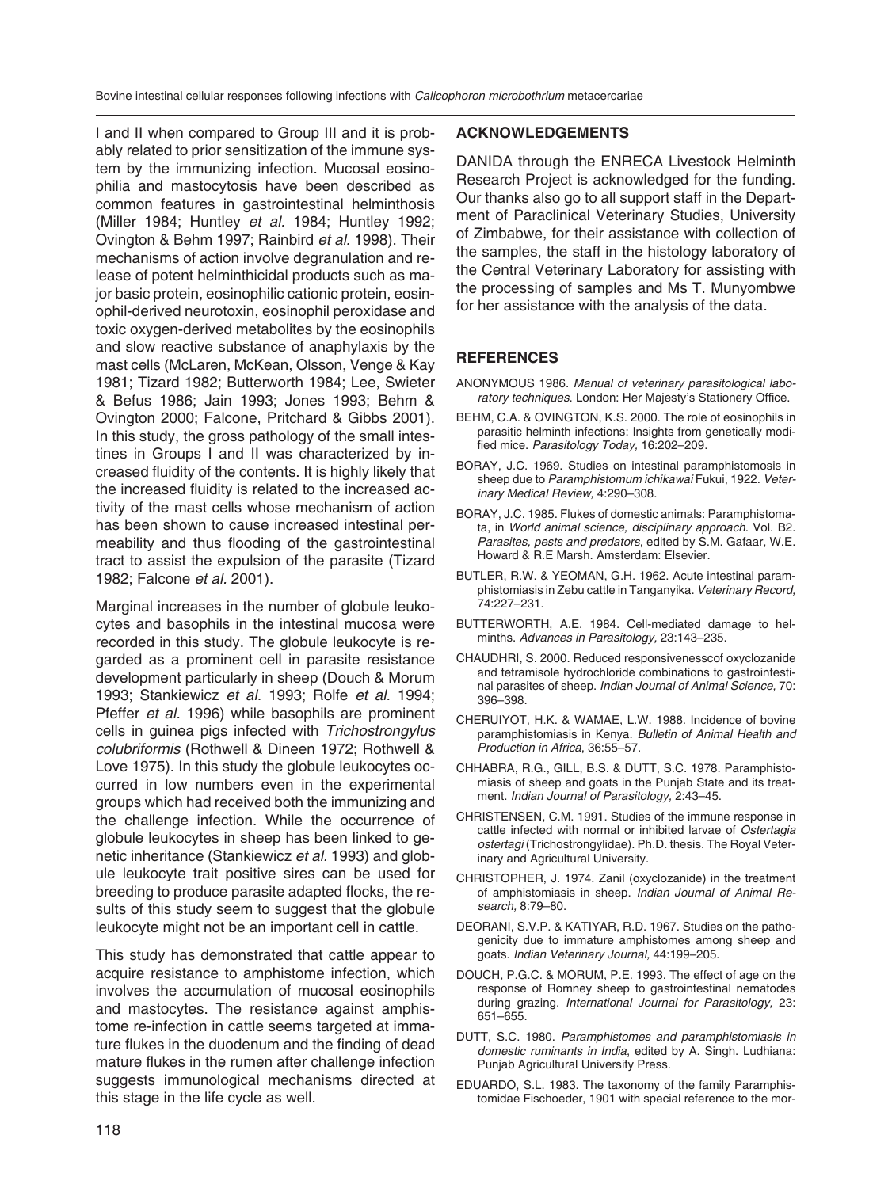Bovine intestinal cellular responses following infections with *Calicophoron microbothrium* metacercariae

I and II when compared to Group III and it is probably related to prior sensitization of the immune system by the immunizing infection. Mucosal eosinophilia and mastocytosis have been described as common features in gastrointestinal helminthosis (Miller 1984; Huntley *et al.* 1984; Huntley 1992; Ovington & Behm 1997; Rainbird *et al.* 1998). Their mechanisms of action involve degranulation and release of potent helminthicidal products such as major basic protein, eosinophilic cationic protein, eosinophil-derived neurotoxin, eosinophil peroxidase and toxic oxygen-derived metabolites by the eosinophils and slow reactive substance of anaphylaxis by the mast cells (McLaren, McKean, Olsson, Venge & Kay 1981; Tizard 1982; Butterworth 1984; Lee, Swieter & Befus 1986; Jain 1993; Jones 1993; Behm & Ovington 2000; Falcone, Pritchard & Gibbs 2001). In this study, the gross pathology of the small intestines in Groups I and II was characterized by increased fluidity of the contents. It is highly likely that the increased fluidity is related to the increased activity of the mast cells whose mechanism of action has been shown to cause increased intestinal permeability and thus flooding of the gastrointestinal tract to assist the expulsion of the parasite (Tizard 1982; Falcone *et al.* 2001).

Marginal increases in the number of globule leukocytes and basophils in the intestinal mucosa were recorded in this study. The globule leukocyte is regarded as a prominent cell in parasite resistance development particularly in sheep (Douch & Morum 1993; Stankiewicz *et al.* 1993; Rolfe *et al.* 1994; Pfeffer *et al.* 1996) while basophils are prominent cells in guinea pigs infected with *Trichostrongylus colubriformis* (Rothwell & Dineen 1972; Rothwell & Love 1975). In this study the globule leukocytes occurred in low numbers even in the experimental groups which had received both the immunizing and the challenge infection. While the occurrence of globule leukocytes in sheep has been linked to genetic inheritance (Stankiewicz *et al.* 1993) and globule leukocyte trait positive sires can be used for breeding to produce parasite adapted flocks, the results of this study seem to suggest that the globule leukocyte might not be an important cell in cattle.

This study has demonstrated that cattle appear to acquire resistance to amphistome infection, which involves the accumulation of mucosal eosinophils and mastocytes. The resistance against amphistome re-infection in cattle seems targeted at immature flukes in the duodenum and the finding of dead mature flukes in the rumen after challenge infection suggests immunological mechanisms directed at this stage in the life cycle as well.

#### **ACKNOWLEDGEMENTS**

DANIDA through the ENRECA Livestock Helminth Research Project is acknowledged for the funding. Our thanks also go to all support staff in the Department of Paraclinical Veterinary Studies, University of Zimbabwe, for their assistance with collection of the samples, the staff in the histology laboratory of the Central Veterinary Laboratory for assisting with the processing of samples and Ms T. Munyombwe for her assistance with the analysis of the data.

#### **REFERENCES**

- ANONYMOUS 1986. *Manual of veterinary parasitological laboratory techniques*. London: Her Majesty's Stationery Office.
- BEHM, C.A. & OVINGTON, K.S. 2000. The role of eosinophils in parasitic helminth infections: Insights from genetically modified mice. *Parasitology Today,* 16:202–209.
- BORAY, J.C. 1969. Studies on intestinal paramphistomosis in sheep due to *Paramphistomum ichikawai* Fukui, 1922. *Veterinary Medical Review,* 4:290–308.
- BORAY, J.C. 1985. Flukes of domestic animals: Paramphistomata, in *World animal science, disciplinary approach.* Vol. B2. *Parasites, pests and predators*, edited by S.M. Gafaar, W.E. Howard & R.E Marsh. Amsterdam: Elsevier.
- BUTLER, R.W. & YEOMAN, G.H. 1962. Acute intestinal paramphistomiasis in Zebu cattle in Tanganyika. *Veterinary Record,* 74:227–231.
- BUTTERWORTH, A.E. 1984. Cell-mediated damage to helminths. *Advances in Parasitology,* 23:143–235.
- CHAUDHRI, S. 2000. Reduced responsivenesscof oxyclozanide and tetramisole hydrochloride combinations to gastrointestinal parasites of sheep. *Indian Journal of Animal Science,* 70: 396–398.
- CHERUIYOT, H.K. & WAMAE, L.W. 1988. Incidence of bovine paramphistomiasis in Kenya. *Bulletin of Animal Health and Production in Africa*, 36:55–57.
- CHHABRA, R.G., GILL, B.S. & DUTT, S.C. 1978. Paramphistomiasis of sheep and goats in the Punjab State and its treatment. *Indian Journal of Parasitology,* 2:43–45.
- CHRISTENSEN, C.M. 1991. Studies of the immune response in cattle infected with normal or inhibited larvae of *Ostertagia ostertagi* (Trichostrongylidae). Ph.D. thesis. The Royal Veterinary and Agricultural University.
- CHRISTOPHER, J. 1974. Zanil (oxyclozanide) in the treatment of amphistomiasis in sheep. *Indian Journal of Animal Research,* 8:79–80.
- DEORANI, S.V.P. & KATIYAR, R.D. 1967. Studies on the pathogenicity due to immature amphistomes among sheep and goats. *Indian Veterinary Journal,* 44:199–205.
- DOUCH, P.G.C. & MORUM, P.E. 1993. The effect of age on the response of Romney sheep to gastrointestinal nematodes during grazing. *International Journal for Parasitology,* 23: 651–655.
- DUTT, S.C. 1980. *Paramphistomes and paramphistomiasis in domestic ruminants in India*, edited by A. Singh. Ludhiana: Punjab Agricultural University Press.
- EDUARDO, S.L. 1983. The taxonomy of the family Paramphistomidae Fischoeder, 1901 with special reference to the mor-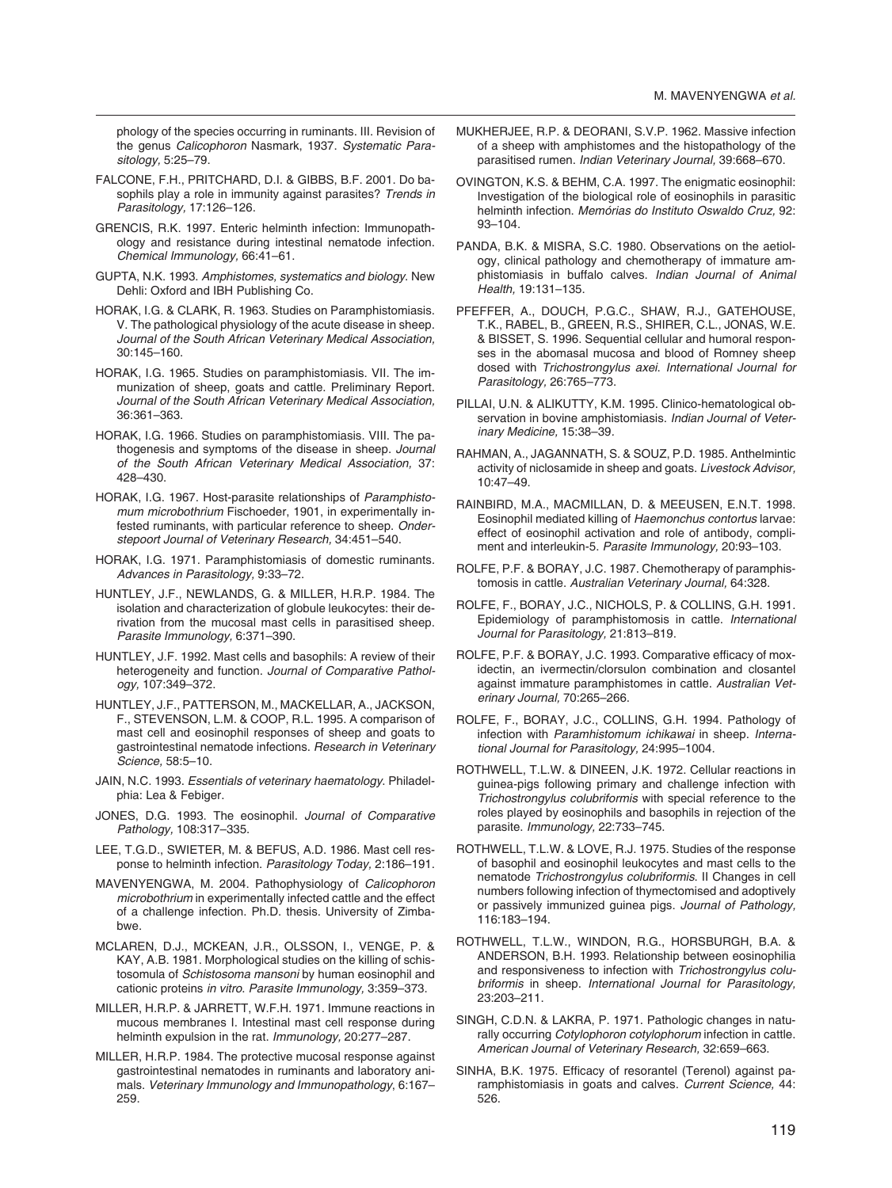phology of the species occurring in ruminants. III. Revision of the genus *Calicophoron* Nasmark, 1937. *Systematic Parasitology,* 5:25–79.

- FALCONE, F.H., PRITCHARD, D.I. & GIBBS, B.F. 2001. Do basophils play a role in immunity against parasites? *Trends in Parasitology,* 17:126–126.
- GRENCIS, R.K. 1997. Enteric helminth infection: Immunopathology and resistance during intestinal nematode infection. *Chem ical Immunology,* 66:41–61.
- GUPTA, N.K. 1993. *Amphistomes, systematics and biology*. New Dehli: Oxford and IBH Publishing Co.
- HORAK, I.G. & CLARK, R. 1963. Studies on Paramphistomiasis. V. The pathological physiology of the acute disease in sheep. Journal of the South African Veterinary Medical Association, 30:145–160.
- HORAK, I.G. 1965. Studies on paramphistomiasis. VII. The immunization of sheep, goats and cattle. Preliminary Report. *Journal of the South African Veterinary Medical Association,* 36:361–363.
- HORAK, I.G. 1966. Studies on paramphistomiasis. VIII. The pathogenesis and symptoms of the disease in sheep. *Journal of the South African Veterinary Medical Association,* 37: 428–430.
- HORAK, I.G. 1967. Host-parasite relationships of *Paramphistomum microbothrium* Fischoeder, 1901, in experimentally infested ruminants, with particular reference to sheep. *Onderstepoort Journal of Veterinary Research,* 34:451–540.
- HORAK, I.G. 1971. Paramphistomiasis of domestic ruminants*. Advances in Parasitology,* 9:33–72.
- HUNTLEY, J.F., NEWLANDS, G. & MILLER, H.R.P. 1984. The isolation and characterization of globule leukocytes: their derivation from the mucosal mast cells in parasitised sheep. *Parasite Immunology,* 6:371–390.
- HUNTLEY, J.F. 1992. Mast cells and basophils: A review of their heterogeneity and function. *Journal of Comparative Pathology,* 107:349–372.
- HUNTLEY, J.F., PATTERSON, M., MACKELLAR, A., JACKSON, F., STEVENSON, L.M. & COOP, R.L. 1995. A comparison of mast cell and eosinophil responses of sheep and goats to gastrointestinal nematode infections. *Research in Veterinary Science,* 58:5–10.
- JAIN, N.C. 1993. *Essentials of veterinary haematology*. Philadelphia: Lea & Febiger.
- JONES, D.G. 1993. The eosinophil. *Journal of Comparative Pathology,* 108:317–335.
- LEE, T.G.D., SWIETER, M. & BEFUS, A.D. 1986. Mast cell response to helminth infection. *Parasitology Today,* 2:186–191.
- MAVENYENGWA, M. 2004. Pathophysiology of *Calicophoron microbothrium* in experimentally infected cattle and the effect of a challenge infection. Ph.D. thesis. University of Zimbabwe.
- MCLAREN, D.J., MCKEAN, J.R., OLSSON, I., VENGE, P. & KAY, A.B. 1981. Morphological studies on the killing of schistosomula of *Schistosoma mansoni* by human eosinophil and cationic proteins *in vitro*. *Parasite Immunology,* 3:359–373.
- MILLER, H.R.P. & JARRETT, W.F.H. 1971. Immune reactions in mucous membranes I. Intestinal mast cell response during helminth expulsion in the rat. *Immunology,* 20:277–287.
- MILLER, H.R.P. 1984. The protective mucosal response against gastrointestinal nematodes in ruminants and laboratory animals. *Veterinary Immunology and Immunopathology*, 6:167– 259.
- MUKHERJEE, R.P. & DEORANI, S.V.P. 1962. Massive infection of a sheep with amphistomes and the histopathology of the parasitised rumen. *Indian Veterinary Journal,* 39:668–670.
- OVINGTON, K.S. & BEHM, C.A. 1997. The enigmatic eosinophil: Investigation of the biological role of eosinophils in parasitic helminth infection. *Memórias do Instituto Oswaldo Cruz,* 92: 93–104.
- PANDA, B.K. & MISRA, S.C. 1980. Observations on the aetiology, clinical pathology and chemotherapy of immature amphistomiasis in buffalo calves. *Indian Journal of Animal Health,* 19:131–135.
- PFEFFER, A., DOUCH, P.G.C., SHAW, R.J., GATEHOUSE, T.K., RABEL, B., GREEN, R.S., SHIRER, C.L., JONAS, W.E. & BISSET, S. 1996. Sequential cellular and humoral responses in the abomasal mucosa and blood of Romney sheep dosed with *Trichostrongylus axei*. *International Journal for Parasitology,* 26:765–773.
- PILLAI, U.N. & ALIKUTTY, K.M. 1995. Clinico-hematological observation in bovine amphistomiasis. *Indian Journal of Veterinary Medicine,* 15:38–39*.*
- RAHMAN, A., JAGANNATH, S. & SOUZ, P.D. 1985. Anthelmintic activity of niclosamide in sheep and goats. *Livestock Advisor,* 10:47–49.
- RAINBIRD, M.A., MACMILLAN, D. & MEEUSEN, E.N.T. 1998. Eosinophil mediated killing of *Haemonchus contortus* larvae: effect of eosinophil activation and role of antibody, compliment and interleukin-5. *Parasite Immunology,* 20:93–103.
- ROLFE, P.F. & BORAY, J.C. 1987. Chemotherapy of paramphistomosis in cattle. *Australian Veterinary Journal,* 64:328.
- ROLFE, F., BORAY, J.C., NICHOLS, P. & COLLINS, G.H. 1991. Epidemiology of paramphistomosis in cattle. *International Journal for Parasitology,* 21:813–819.
- ROLFE, P.F. & BORAY, J.C. 1993. Comparative efficacy of moxidectin, an ivermectin/clorsulon combination and closantel against immature paramphistomes in cattle. *Australian Veterinary Journal,* 70:265–266.
- ROLFE, F., BORAY, J.C., COLLINS, G.H. 1994. Pathology of infection with Paramhistomum ichikawai in sheep. Interna*tional Journal for Parasitology,* 24:995–1004.
- ROTHWELL, T.L.W. & DINEEN, J.K. 1972. Cellular reactions in guinea-pigs following primary and challenge infection with *Trichostrongylus colubriformis* with special reference to the roles played by eosinophils and basophils in rejection of the parasite. *Immunology,* 22:733–745.
- ROTHWELL, T.L.W. & LOVE, R.J. 1975. Studies of the response of basophil and eosinophil leukocytes and mast cells to the nematode *Trichostrongylus colubriformis*. II Changes in cell numbers following infection of thymectomised and adoptively or passively immunized guinea pigs. *Journal of Pathology,* 116:183–194.
- ROTHWELL, T.L.W., WINDON, R.G., HORSBURGH, B.A. & ANDERSON, B.H. 1993. Relationship between eosinophilia and responsiveness to infection with *Trichostrongylus colubriformis* in sheep. *International Journal for Parasitology,*  23:203–211.
- SINGH, C.D.N. & LAKRA, P. 1971. Pathologic changes in naturally occurring *Cotylophoron cotylophorum* infection in cattle. *American Journal of Veterinary Research,* 32:659–663.
- SINHA, B.K. 1975. Efficacy of resorantel (Terenol) against paramphistomiasis in goats and calves. *Current Science,* 44: 526.